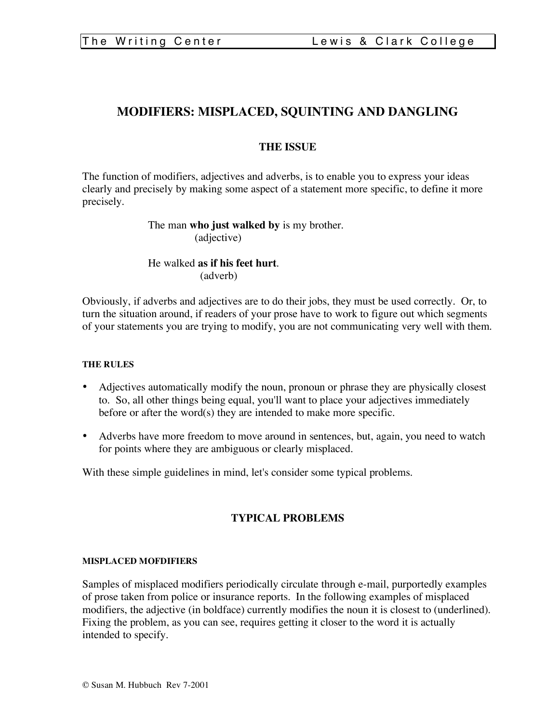# **MODIFIERS: MISPLACED, SQUINTING AND DANGLING**

## **THE ISSUE**

The function of modifiers, adjectives and adverbs, is to enable you to express your ideas clearly and precisely by making some aspect of a statement more specific, to define it more precisely.

## The man **who just walked by** is my brother. (adjective)

## He walked **as if his feet hurt**. (adverb)

Obviously, if adverbs and adjectives are to do their jobs, they must be used correctly. Or, to turn the situation around, if readers of your prose have to work to figure out which segments of your statements you are trying to modify, you are not communicating very well with them.

### **THE RULES**

- Adjectives automatically modify the noun, pronoun or phrase they are physically closest to. So, all other things being equal, you'll want to place your adjectives immediately before or after the word(s) they are intended to make more specific.
- Adverbs have more freedom to move around in sentences, but, again, you need to watch for points where they are ambiguous or clearly misplaced.

With these simple guidelines in mind, let's consider some typical problems.

## **TYPICAL PROBLEMS**

#### **MISPLACED MOFDIFIERS**

Samples of misplaced modifiers periodically circulate through e-mail, purportedly examples of prose taken from police or insurance reports. In the following examples of misplaced modifiers, the adjective (in boldface) currently modifies the noun it is closest to (underlined). Fixing the problem, as you can see, requires getting it closer to the word it is actually intended to specify.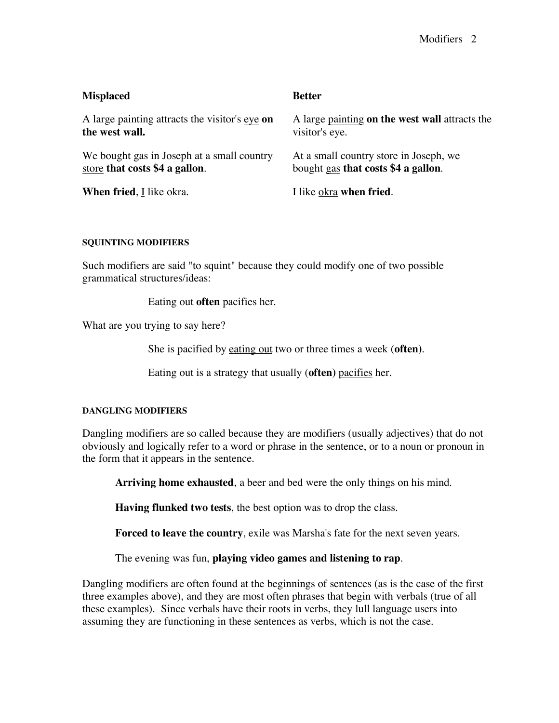| <b>Misplaced</b>                               | <b>Better</b>                                         |
|------------------------------------------------|-------------------------------------------------------|
| A large painting attracts the visitor's eye on | A large <u>painting</u> on the west wall attracts the |
| the west wall.                                 | visitor's eye.                                        |
| We bought gas in Joseph at a small country     | At a small country store in Joseph, we                |
| store that costs \$4 a gallon.                 | bought gas that costs \$4 a gallon.                   |
| When fried, I like okra.                       | I like okra when fried.                               |

#### **SQUINTING MODIFIERS**

Such modifiers are said "to squint" because they could modify one of two possible grammatical structures/ideas:

Eating out **often** pacifies her.

What are you trying to say here?

She is pacified by eating out two or three times a week (**often)**.

Eating out is a strategy that usually (**often)** pacifies her.

#### **DANGLING MODIFIERS**

Dangling modifiers are so called because they are modifiers (usually adjectives) that do not obviously and logically refer to a word or phrase in the sentence, or to a noun or pronoun in the form that it appears in the sentence.

**Arriving home exhausted**, a beer and bed were the only things on his mind.

**Having flunked two tests**, the best option was to drop the class.

**Forced to leave the country**, exile was Marsha's fate for the next seven years.

The evening was fun, **playing video games and listening to rap**.

Dangling modifiers are often found at the beginnings of sentences (as is the case of the first three examples above), and they are most often phrases that begin with verbals (true of all these examples). Since verbals have their roots in verbs, they lull language users into assuming they are functioning in these sentences as verbs, which is not the case.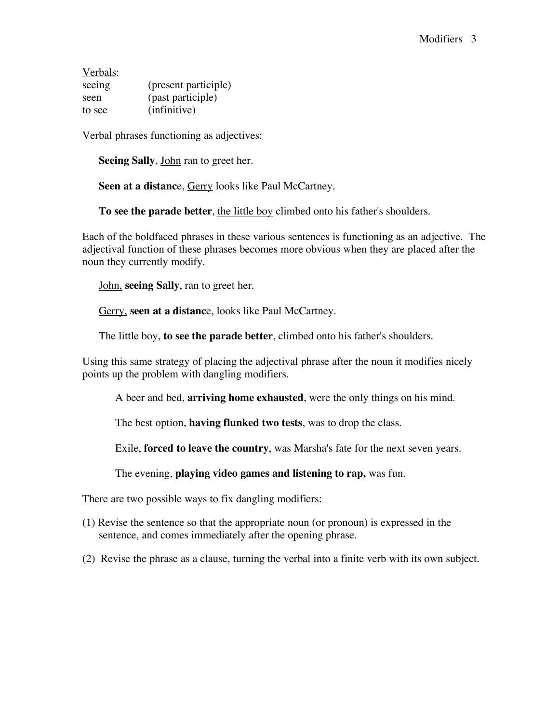Verbals: seeing (present participle) seen (past participle) to see (infinitive)

Verbal phrases functioning as adjectives:

**Seeing Sally**, John ran to greet her.

**Seen at a distanc**e, Gerry looks like Paul McCartney.

**To see the parade better**, the little boy climbed onto his father's shoulders.

Each of the boldfaced phrases in these various sentences is functioning as an adjective. The adjectival function of these phrases becomes more obvious when they are placed after the noun they currently modify.

John, **seeing Sally**, ran to greet her.

Gerry, **seen at a distanc**e, looks like Paul McCartney.

The little boy, **to see the parade better**, climbed onto his father's shoulders.

Using this same strategy of placing the adjectival phrase after the noun it modifies nicely points up the problem with dangling modifiers.

A beer and bed, **arriving home exhausted**, were the only things on his mind.

The best option, **having flunked two tests**, was to drop the class.

Exile, **forced to leave the country**, was Marsha's fate for the next seven years.

The evening, **playing video games and listening to rap,** was fun.

There are two possible ways to fix dangling modifiers:

- (1) Revise the sentence so that the appropriate noun (or pronoun) is expressed in the sentence, and comes immediately after the opening phrase.
- (2) Revise the phrase as a clause, turning the verbal into a finite verb with its own subject.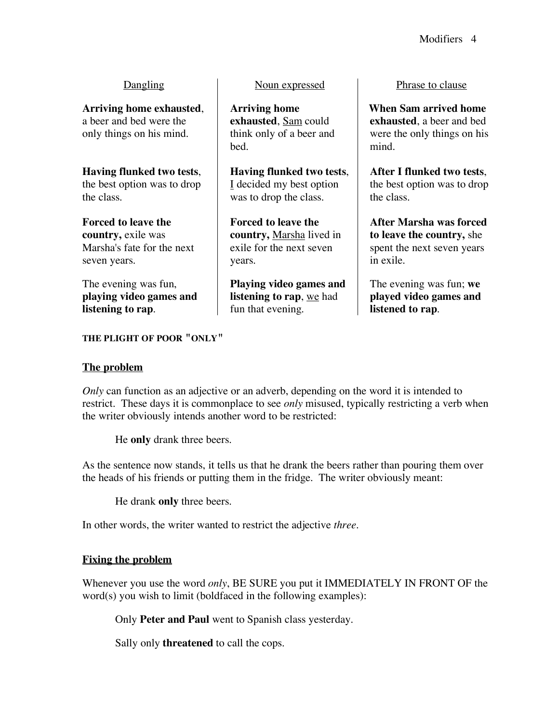**Arriving home exhausted**, a beer and bed were the only things on his mind.

**Having flunked two tests**, the best option was to drop the class.

## **Forced to leave the country,** exile was Marsha's fate for the next seven years.

The evening was fun, **playing video games and listening to rap**.

**THE PLIGHT OF POOR "ONLY"**

# Dangling Noun expressed Phrase to clause

**Arriving home exhausted**, Sam could think only of a beer and bed.

**Having flunked two tests**, I decided my best option was to drop the class.

**Forced to leave the country,** Marsha lived in exile for the next seven years.

**Playing video games and listening to rap**, we had fun that evening.

**When Sam arrived home exhausted**, a beer and bed were the only things on his mind.

**After I flunked two tests**, the best option was to drop the class.

**After Marsha was forced to leave the country,** she spent the next seven years in exile.

The evening was fun; **we played video games and listened to rap**.

# **The problem**

*Only* can function as an adjective or an adverb, depending on the word it is intended to restrict. These days it is commonplace to see *only* misused, typically restricting a verb when the writer obviously intends another word to be restricted:

He **only** drank three beers.

As the sentence now stands, it tells us that he drank the beers rather than pouring them over the heads of his friends or putting them in the fridge. The writer obviously meant:

He drank **only** three beers.

In other words, the writer wanted to restrict the adjective *three*.

# **Fixing the problem**

Whenever you use the word *only*, BE SURE you put it IMMEDIATELY IN FRONT OF the word(s) you wish to limit (boldfaced in the following examples):

Only **Peter and Paul** went to Spanish class yesterday.

Sally only **threatened** to call the cops.